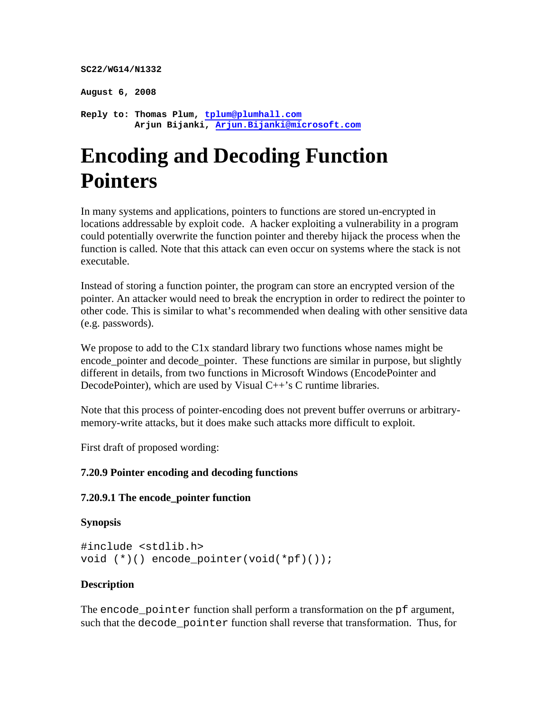```
SC22/WG14/N1332 
August 6, 2008 
Reply to: Thomas Plum, tplum@plumhall.com 
           Arjun Bijanki, Arjun.Bijanki@microsoft.com
```
# **Encoding and Decoding Function Pointers**

In many systems and applications, pointers to functions are stored un-encrypted in locations addressable by exploit code. A hacker exploiting a vulnerability in a program could potentially overwrite the function pointer and thereby hijack the process when the function is called. Note that this attack can even occur on systems where the stack is not executable.

Instead of storing a function pointer, the program can store an encrypted version of the pointer. An attacker would need to break the encryption in order to redirect the pointer to other code. This is similar to what's recommended when dealing with other sensitive data (e.g. passwords).

We propose to add to the C<sub>1x</sub> standard library two functions whose names might be encode\_pointer and decode\_pointer. These functions are similar in purpose, but slightly different in details, from two functions in Microsoft Windows (EncodePointer and DecodePointer), which are used by Visual C++'s C runtime libraries.

Note that this process of pointer-encoding does not prevent buffer overruns or arbitrarymemory-write attacks, but it does make such attacks more difficult to exploit.

First draft of proposed wording:

## **7.20.9 Pointer encoding and decoding functions**

#### **7.20.9.1 The encode\_pointer function**

#### **Synopsis**

```
#include <stdlib.h> 
void (*)() encode pointer(void(*pf)());
```
## **Description**

The encode\_pointer function shall perform a transformation on the pf argument, such that the decode\_pointer function shall reverse that transformation. Thus, for